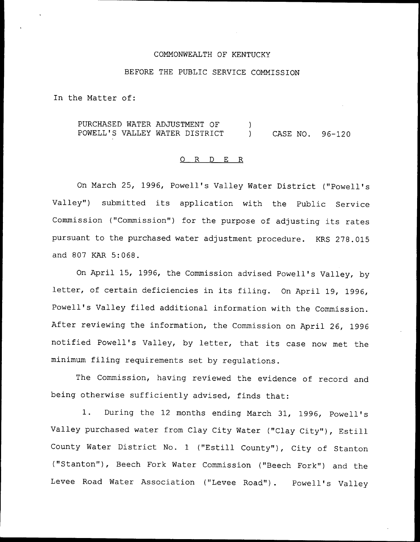#### COMMONWEALTH OF KENTUCKY

#### BEFORE THE PUBLIC SERVICE COMMISSION

In the Matter of:

PURCHASED WATER ADJUSTMENT OF  $\lambda$ POWELL'S VALLEY WATER DISTRICT (ASE NO. 96-120

# 0 R <sup>D</sup> E R

On March 25, 1996, Powell's Valley Water District ("Powell's Valley") submitted its application with the Public Service Commission ("Commission") for the purpose of adjusting its rates pursuant to the purchased water adjustment procedure. KRS 278.015 and 807 KAR 5:068.

On April 15, 1996, the Commission advised Powell's Valley, by letter, of certain deficiencies in its filing. On April 19, 1996, Powell's Valley filed additional information with the Commission. After reviewing the information, the Commission on April 26, 1996 notified Powell's Valley, by letter, that its case now met the minimum filing requirements set by regulations.

The Commission, having reviewed the evidence of record and being otherwise sufficiently advised, finds that:

1. During the <sup>12</sup> months ending March 31, 1996, Powell's Valley purchased water from Clay City Water ("Clay City"), Estill County Water District No. 1 ("Estill County"), City of Stanton ("Stanton"), Beech Fork Water Commission ("Beech Fork") and the Levee Road Water Association ("Levee Road"). Powell's Valley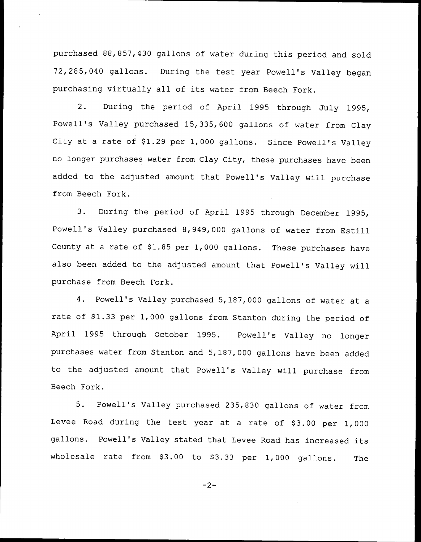purchased 88,857,430 gallons of water during this period and sold 72,285,040 gallons. During the test year Powell's Valley began purchasing virtually all of its water from Beech Fork.

2. During the period of April 1995 through July 1995, Powell's Valley purchased 15,335, 600 gallons of water from Clay City at a rate of \$1.29 per 1,000 gallons. Since Powell's Valley no longer purchases water from Clay City, these purchases have been added to the adjusted amount that Powell's Valley will purchase from Beech Fork.

3. During the period of April 1995 through December 1995, Powell's Valley purchased 8,949,000 gallons of water from Estill County at a rate of  $$1.85$  per 1,000 gallons. These purchases have also been added to the adjusted amount that Powell's Valley will purchase from Beech Fork.

4. Powell's Valley purchased 5,187,000 gallons of water at <sup>a</sup> rate of \$1.33 per 1,000 gallons from Stanton during the period of April 1995 through October 1995. Powell's Valley no longer purchases water from Stanton and 5,187,000 gallons have been added to the adjusted amount that Powell's Valley will purchase from Beech Fork.

5. Powell's Valley purchased 235,830 gallons of water from Levee Road during the test year at a rate of \$3.00 per 1,000 gallons. Powell's Valley stated that Levee Road has increased its wholesale rate from  $$3.00$  to  $$3.33$  per 1,000 gallons. The

 $-2-$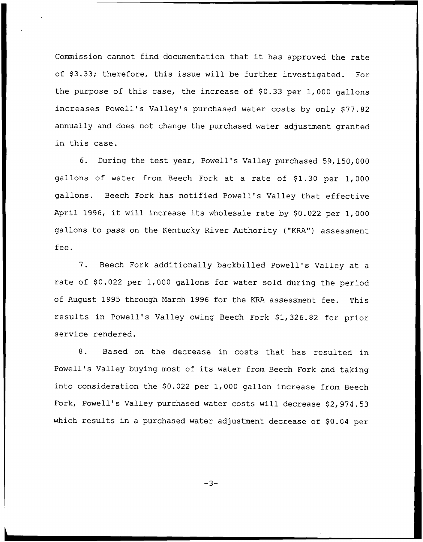Commission cannot find documentation that it has approved the rate of \$3.33; therefore, this issue will be further investigated. For the purpose of this case, the increase of  $$0.33$  per 1,000 gallons increases Powell's Valley's purchased water costs by only \$77.82 annually and does not change the purchased water adjustment granted in this case.

6. During the test year, Powell's Valley purchased 59, 150, 000 gallons of water from Beech Fork at a rate of \$1.30 per 1,000 gallons. Beech Fork has notified Powell's Valley that effective April 1996, it will increase its wholesale rate by \$0.022 per 1,000 gallons to pass on the Kentucky River Authority ("KRA") assessment fee.

7. Beech Fork additionally backbilled Powell's Valley at <sup>a</sup> rate of \$0.022 per 1,000 gallons for water sold during the period of August 1995 through March 1996 for the KRA assessment fee. This results in Powell's Valley owing Beech Fork \$1,326.82 for prior service rendered.

8. Based on the decrease in costs that has resulted in Powell's Valley buying most of its water from Beech Fork and taking into consideration the \$0.022 per 1,000 gallon increase from Beech Fork, Powell's Valley purchased water costs will decrease \$2, 974.53 which results in a purchased water adjustment decrease of  $$0.04$  per

 $-3-$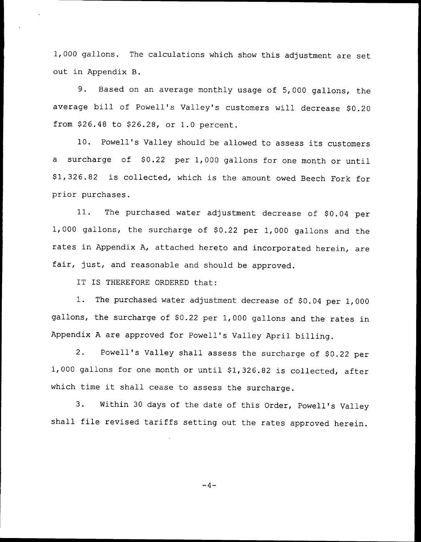1, 000 gallons. The calculations which show this adjustment are set out in Appendix B.

9. Based on an average monthly usage of 5,000 gallons, the average bill of Powell's Valley's customers will decrease \$0.20 from \$26.48 to \$26.28, or 1.0 percent.

10. Powell's Valley should be allowed to assess its customers a surcharge of \$0.22 per 1,000 gallons for one month or until \$ 1,326.82 is collected, which is the amount owed Beech Fork for prior purchases.

11. The purchased water adjustment decrease of \$0.04 per 1,000 gallons, the surcharge of \$0.22 per 1,000 gallons and the rates in Appendix A, attached hereto and incorporated herein, are fair, just, and reasonable and should be approved.

IT IS THEREFORE ORDERED that:

1. The purchased water adjustment decrease of \$0.04 per 1,000 gallons, the surcharge of \$0.22 per 1,000 gallons and the rates in Appendix <sup>A</sup> are approved for Powell's Valley April billing.

2. Powell's Valley shall assess the surcharge of \$0.22 per 1,000 gallons for one month or until \$1,326.82 is collected, after which time it shall cease to assess the surcharge.

3. Within <sup>30</sup> days of the date of this Order, Powell's Valley shall file revised tariffs setting out the rates approved herein.

$$
-4-
$$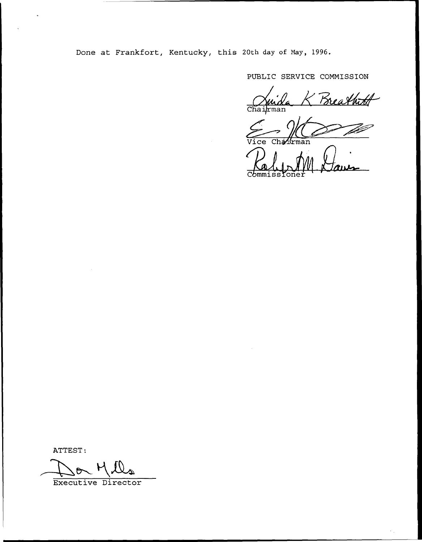Done at Frankfort, Kentucky, this 20th day of Nay, 1996,

PUBLIC SERVICE COMMISSION

Breathits Chai*l*rman

1Gman Vice

ATTEST:

 $M_{\star}$ 

Executive Director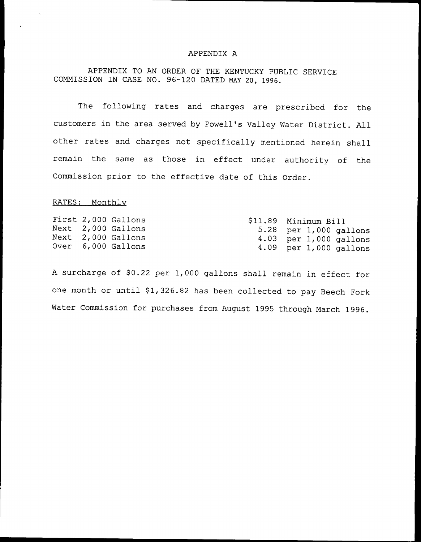#### APPENDIX A

APPENDIX TO AN ORDER OF THE KENTUCKY PUBLIC SERVICE COMMISSION IN CASE NO. 96-120 DATED NAY 20, 1996.

The following rates and charges are prescribed for the customers in the area served by Powell's Valley Water District. All other rates and charges not specifically mentioned herein shall remain the same as those in effect under authority of the Commission prior to the effective date of this Order.

### RATES: Monthlv

|  |  | First 2,000 Gallons<br>Next 2,000 Gallons<br>Next 2,000 Gallons<br>Over 6,000 Gallons |  | \$11.89 Minimum Bill<br>$5.28$ per 1,000 gallons<br>4.03 per 1,000 gallons<br>4.09 per $1,000$ gallons |  |
|--|--|---------------------------------------------------------------------------------------|--|--------------------------------------------------------------------------------------------------------|--|
|--|--|---------------------------------------------------------------------------------------|--|--------------------------------------------------------------------------------------------------------|--|

A surcharge of \$0.22 per 1,000 gallons shall remain in effect for one month or until \$1,326.82 has been collected to pay Beech Fork Water Commission for purchases from August 1995 through March 1996.